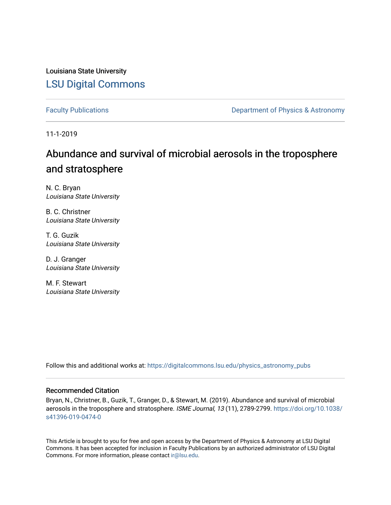Louisiana State University [LSU Digital Commons](https://digitalcommons.lsu.edu/)

[Faculty Publications](https://digitalcommons.lsu.edu/physics_astronomy_pubs) **Exercise 2 and Table 2 and Table 2 and Table 2 and Table 2 and Table 2 and Table 2 and Table 2 and Table 2 and Table 2 and Table 2 and Table 2 and Table 2 and Table 2 and Table 2 and Table 2 and Table** 

11-1-2019

## Abundance and survival of microbial aerosols in the troposphere and stratosphere

N. C. Bryan Louisiana State University

B. C. Christner Louisiana State University

T. G. Guzik Louisiana State University

D. J. Granger Louisiana State University

M. F. Stewart Louisiana State University

Follow this and additional works at: [https://digitalcommons.lsu.edu/physics\\_astronomy\\_pubs](https://digitalcommons.lsu.edu/physics_astronomy_pubs?utm_source=digitalcommons.lsu.edu%2Fphysics_astronomy_pubs%2F2201&utm_medium=PDF&utm_campaign=PDFCoverPages) 

#### Recommended Citation

Bryan, N., Christner, B., Guzik, T., Granger, D., & Stewart, M. (2019). Abundance and survival of microbial aerosols in the troposphere and stratosphere. ISME Journal, 13 (11), 2789-2799. [https://doi.org/10.1038/](https://doi.org/10.1038/s41396-019-0474-0) [s41396-019-0474-0](https://doi.org/10.1038/s41396-019-0474-0)

This Article is brought to you for free and open access by the Department of Physics & Astronomy at LSU Digital Commons. It has been accepted for inclusion in Faculty Publications by an authorized administrator of LSU Digital Commons. For more information, please contact [ir@lsu.edu](mailto:ir@lsu.edu).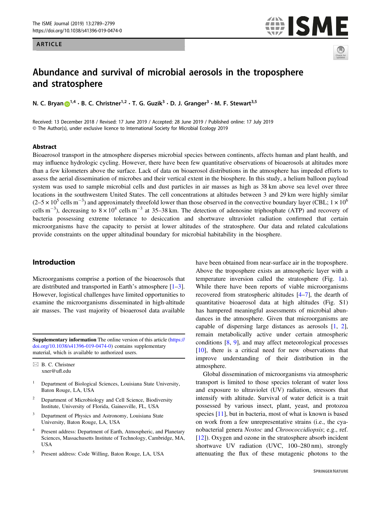### ARTICLE

# **ISME**



## Abundance and survival of microbial aerosols in the troposphere and stratosphere

 $\mathbf{N}$ . C. Bryan **i**  $\bullet$  [1](http://orcid.org/0000-0002-0366-3008), C. Christner 1, F. G. Guzik  $\bullet$  D. J. Granger  $\bullet$  M. F. Stewart 1,

Received: 13 December 2018 / Revised: 17 June 2019 / Accepted: 28 June 2019 / Published online: 17 July 2019 © The Author(s), under exclusive licence to International Society for Microbial Ecology 2019

#### Abstract

Bioaerosol transport in the atmosphere disperses microbial species between continents, affects human and plant health, and may influence hydrologic cycling. However, there have been few quantitative observations of bioaerosols at altitudes more than a few kilometers above the surface. Lack of data on bioaerosol distributions in the atmosphere has impeded efforts to assess the aerial dissemination of microbes and their vertical extent in the biosphere. In this study, a helium balloon payload system was used to sample microbial cells and dust particles in air masses as high as 38 km above sea level over three locations in the southwestern United States. The cell concentrations at altitudes between 3 and 29 km were highly similar  $(2-5 \times 10^5 \text{ cells m}^{-3})$  and approximately threefold lower than those observed in the convective boundary layer (CBL;  $1 \times 10^6$ cells m<sup>-3</sup>), decreasing to  $8 \times 10^4$  cells m<sup>-3</sup> at 35–38 km. The detection of adenosine triphosphate (ATP) and recovery of bacteria possessing extreme tolerance to desiccation and shortwave ultraviolet radiation confirmed that certain microorganisms have the capacity to persist at lower altitudes of the stratosphere. Our data and related calculations provide constraints on the upper altitudinal boundary for microbial habitability in the biosphere.

#### Introduction

Microorganisms comprise a portion of the bioaerosols that are distributed and transported in Earth's atmosphere [\[1](#page-9-0)–[3](#page-9-0)]. However, logistical challenges have limited opportunities to examine the microorganisms disseminated in high-altitude air masses. The vast majority of bioaerosol data available

Supplementary information The online version of this article ([https://](https://doi.org/10.1038/s41396-019-0474-0) [doi.org/10.1038/s41396-019-0474-0\)](https://doi.org/10.1038/s41396-019-0474-0) contains supplementary material, which is available to authorized users.

 $\boxtimes$  B. C. Christner [xner@u](mailto:xner@ufl.edu)fl.edu

- <sup>1</sup> Department of Biological Sciences, Louisiana State University, Baton Rouge, LA, USA
- <sup>2</sup> Department of Microbiology and Cell Science, Biodiversity Institute, University of Florida, Gainesville, FL, USA
- <sup>3</sup> Department of Physics and Astronomy, Louisiana State University, Baton Rouge, LA, USA
- Present address: Department of Earth, Atmospheric, and Planetary Sciences, Massachusetts Institute of Technology, Cambridge, MA, USA
- <sup>5</sup> Present address: Code Willing, Baton Rouge, LA, USA

have been obtained from near-surface air in the troposphere. Above the troposphere exists an atmospheric layer with a temperature inversion called the stratosphere (Fig. [1](#page-2-0)a). While there have been reports of viable microorganisms recovered from stratospheric altitudes [[4](#page-9-0)–[7\]](#page-9-0), the dearth of quantitative bioaerosol data at high altitudes (Fig. S1) has hampered meaningful assessments of microbial abundances in the atmosphere. Given that microorganisms are capable of dispersing large distances as aerosols [[1,](#page-9-0) [2\]](#page-9-0), remain metabolically active under certain atmospheric conditions [\[8](#page-9-0), [9](#page-9-0)], and may affect meteorological processes [\[10](#page-9-0)], there is a critical need for new observations that improve understanding of their distribution in the atmosphere.

Global dissemination of microorganisms via atmospheric transport is limited to those species tolerant of water loss and exposure to ultraviolet (UV) radiation, stressors that intensify with altitude. Survival of water deficit is a trait possessed by various insect, plant, yeast, and protozoa species [\[11](#page-9-0)], but in bacteria, most of what is known is based on work from a few unrepresentative strains (i.e., the cyanobacterial genera Nostoc and Chroococcidiopsis; e.g., ref. [\[12](#page-9-0)]). Oxygen and ozone in the stratosphere absorb incident shortwave UV radiation (UVC, 100–280 nm), strongly attenuating the flux of these mutagenic photons to the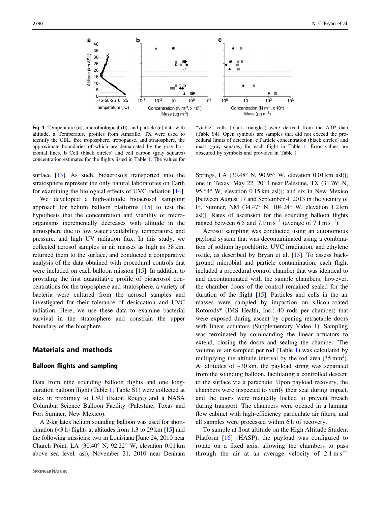<span id="page-2-0"></span>

Fig. 1 Temperature (a), microbiological (b), and particle (c) data with altitude. a Temperature profiles from Amarillo, TX were used to identify the CBL, free troposphere, tropopause, and stratosphere, the approximate boundaries of which are demarcated by the gray horizontal lines. b Cell (black circles) and cell carbon (gray squares) concentration estimates for the flights listed in Table [1.](#page-3-0) The values for

surface [[13\]](#page-9-0). As such, bioaerosols transported into the stratosphere represent the only natural laboratories on Earth for examining the biological effects of UVC radiation [\[14](#page-9-0)].

We developed a high-altitude bioaerosol sampling approach for helium balloon platforms [\[15](#page-9-0)] to test the hypothesis that the concentration and viability of microorganisms incrementally decreases with altitude in the atmosphere due to low water availability, temperature, and pressure, and high UV radiation flux. In this study, we collected aerosol samples in air masses as high as 38 km, returned them to the surface, and conducted a comparative analysis of the data obtained with procedural controls that were included on each balloon mission [\[15](#page-9-0)]. In addition to providing the first quantitative profile of bioaerosol concentrations for the troposphere and stratosphere, a variety of bacteria were cultured from the aerosol samples and investigated for their tolerance of desiccation and UVC radiation. Here, we use these data to examine bacterial survival in the stratosphere and constrain the upper boundary of the biosphere.

#### Materials and methods

#### Balloon flights and sampling

Data from nine sounding balloon flights and one longduration balloon flight (Table [1;](#page-3-0) Table S1) were collected at sites in proximity to LSU (Baton Rouge) and a NASA Columbia Science Balloon Facility (Palestine, Texas and Fort Sumner, New Mexico).

A 2-kg latex helium sounding balloon was used for shortduration  $(<3 h)$  flights at altitudes from 1.3 to 29 km [\[15](#page-9-0)] and the following missions: two in Louisiana [June 24, 2010 near Church Point, LA (30.40° N, 92.22° W, elevation 0.01 km above sea level, asl), November 21, 2010 near Denham

"viable" cells (black triangles) were derived from the ATP data (Table S4). Open symbols are samples that did not exceed the procedural limits of detection. c Particle concentration (black circles) and mass (gray squares) for each flight in Table [1.](#page-3-0) Error values are obscured by symbols and provided in Table [1](#page-3-0)

Springs, LA (30.48° N, 90.95° W, elevation 0.01 km asl)]; one in Texas [May 22, 2013 near Palestine, TX (31.76° N, 95.64° W, elevation 0.15 km asl)]; and six in New Mexico [between August 17 and September 4, 2013 in the vicinity of Ft. Sumner, NM (34.47° N, 104.24° W, elevation 1.2 km asl)]. Rates of ascension for the sounding balloon flights ranged between 6.5 and 7.9 m s<sup>-1</sup> (average of 7.1 m s<sup>-1</sup>).

Aerosol sampling was conducted using an autonomous payload system that was decontaminated using a combination of sodium hypochlorite, UVC irradiation, and ethylene oxide, as described by Bryan et al. [\[15](#page-9-0)]. To assess background microbial and particle contamination, each flight included a procedural control chamber that was identical to and decontaminated with the sample chambers; however, the chamber doors of the control remained sealed for the duration of the flight [\[15](#page-9-0)]. Particles and cells in the air masses were sampled by impaction on silicon-coated Rotorods® (IMS Health, Inc.; 40 rods per chamber) that were exposed during ascent by opening retractable doors with linear actuators (Supplementary Video 1). Sampling was terminated by commanding the linear actuators to extend, closing the doors and sealing the chamber. The volume of air sampled per rod (Table [1](#page-3-0)) was calculated by multiplying the altitude interval by the rod area  $(35 \text{ mm}^2)$ . At altitudes of  $\sim$ 30 km, the payload string was separated from the sounding balloon, facilitating a controlled descent to the surface via a parachute. Upon payload recovery, the chambers were inspected to verify their seal during impact, and the doors were manually locked to prevent breach during transport. The chambers were opened in a laminar flow cabinet with high-efficiency particulate air filters, and all samples were processed within 6 h of recovery.

To sample at float altitude on the High Altitude Student Platform [[16\]](#page-10-0) (HASP), the payload was configured to rotate on a fixed axis, allowing the chambers to pass through the air at an average velocity of  $2.1 \text{ m s}^{-1}$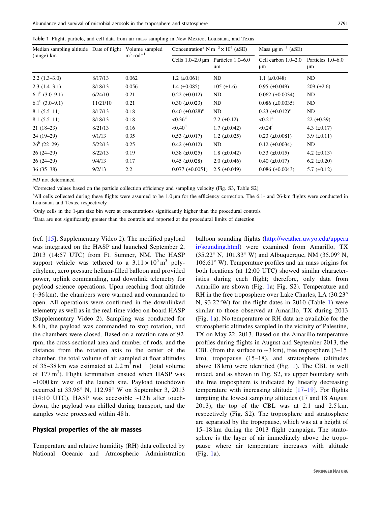<span id="page-3-0"></span>

|  |  |  |  |  |  |  |  |  |  |  |  |  | Table 1 Flight, particle, and cell data from air mass sampling in New Mexico, Louisiana, and Texas |  |  |
|--|--|--|--|--|--|--|--|--|--|--|--|--|----------------------------------------------------------------------------------------------------|--|--|
|--|--|--|--|--|--|--|--|--|--|--|--|--|----------------------------------------------------------------------------------------------------|--|--|

| Median sampling altitude Date of flight |          | Volume sampled          | Concentration <sup>a</sup> N m <sup>-3</sup> $\times$ 10 <sup>6</sup> ( $\pm$ SE) |                                                          | Mass $\mu$ g m <sup>-3</sup> (±SE) |                         |  |
|-----------------------------------------|----------|-------------------------|-----------------------------------------------------------------------------------|----------------------------------------------------------|------------------------------------|-------------------------|--|
| (range) km                              |          | $m^3$ rod <sup>-1</sup> |                                                                                   | Cells $1.0-2.0 \,\text{\mu m}$ Particles $1.0-6.0$<br>μm | Cell carbon $1.0-2.0$<br>μm        | Particles 1.0–6.0<br>μm |  |
| $2.2(1.3-3.0)$                          | 8/17/13  | 0.062                   | $1.2 \ (\pm 0.061)$                                                               | ND.                                                      | 1.1 $(\pm 0.048)$                  | ND                      |  |
| $2.3(1.4-3.1)$                          | 8/18/13  | 0.056                   | 1.4 $(\pm 0.085)$                                                                 | $105 (\pm 1.6)$                                          | $0.95$ ( $\pm 0.049$ )             | $209 (\pm 2.6)$         |  |
| $6.1^b$ (3.0–9.1)                       | 6/24/10  | 0.21                    | $0.22$ ( $\pm 0.012$ )                                                            | ND                                                       | $0.062 \ (\pm 0.0034)$             | ND                      |  |
| $6.1^b$ (3.0–9.1)                       | 11/21/10 | 0.21                    | $0.30 \ (\pm 0.023)$                                                              | ND.                                                      | $0.086 \ (\pm 0.0035)$             | ND                      |  |
| $8.1(5.5-11)$                           | 8/17/13  | 0.18                    | $0.40~(\pm 0.028)^c$                                                              | ND                                                       | $0.23~(\pm 0.012)^c$               | ND                      |  |
| $8.1(5.5-11)$                           | 8/18/13  | 0.18                    | $< 0.36^d$                                                                        | 7.2 $(\pm 0.12)$                                         | $< 0.21$ <sup>d</sup>              | $22 (\pm 0.39)$         |  |
| $21(18-23)$                             | 8/21/13  | 0.16                    | $< 0.40^d$                                                                        | $1.7$ ( $\pm 0.042$ )                                    | $< 0.24^d$                         | 4.3 $(\pm 0.17)$        |  |
| $24(19-29)$                             | 9/1/13   | 0.35                    | $0.53 \ (\pm 0.017)$                                                              | $1.2 \ (\pm 0.025)$                                      | $0.23$ ( $\pm 0.0081$ )            | 3.9 $(\pm 0.11)$        |  |
| $26^b$ (22–29)                          | 5/22/13  | 0.25                    | $0.42 \ (\pm 0.012)$                                                              | ND.                                                      | $0.12 \ (\pm 0.0034)$              | ND                      |  |
| $26(24-29)$                             | 8/22/13  | 0.19                    | $0.38 \ (\pm 0.025)$                                                              | 1.8 $(\pm 0.042)$                                        | $0.33 \ (\pm 0.015)$               | 4.2 $(\pm 0.13)$        |  |
| $26(24-29)$                             | 9/4/13   | 0.17                    | $0.45$ ( $\pm 0.028$ )                                                            | $2.0$ ( $\pm 0.046$ )                                    | $0.40$ ( $\pm 0.017$ )             | $6.2 \ (\pm 0.20)$      |  |
| $36(35-38)$                             | 9/2/13   | 2.2                     | $0.077 (\pm 0.0051)$                                                              | $2.5 \ (\pm 0.049)$                                      | $0.086 \ (\pm 0.0043)$             | $5.7 \ (\pm 0.12)$      |  |

ND not determined

<sup>a</sup>Corrected values based on the particle collection efficiency and sampling velocity (Fig. S3, Table S2)

<sup>b</sup>All cells collected during these flights were assumed to be 1.0 µm for the efficiency correction. The 6.1- and 26-km flights were conducted in Louisiana and Texas, respectively

c Only cells in the 1-µm size bin were at concentrations significantly higher than the procedural controls

<sup>d</sup>Data are not significantly greater than the controls and reported at the procedural limits of detection

(ref. [\[15\]](#page-9-0); Supplementary Video 2). The modified payload was integrated on the HASP and launched September 2, 2013 (14:57 UTC) from Ft. Sumner, NM. The HASP support vehicle was tethered to a  $3.11 \times 10^5$  m<sup>3</sup> polyethylene, zero pressure helium-filled balloon and provided power, uplink commanding, and downlink telemetry for payload science operations. Upon reaching float altitude (~36 km), the chambers were warmed and commanded to open. All operations were confirmed in the downlinked telemetry as well as in the real-time video on-board HASP (Supplementary Video 2). Sampling was conducted for 8.4 h, the payload was commanded to stop rotation, and the chambers were closed. Based on a rotation rate of 92 rpm, the cross-sectional area and number of rods, and the distance from the rotation axis to the center of the chamber, the total volume of air sampled at float altitudes of 35–38 km was estimated at  $2.2 \text{ m}^3 \text{ rod}^{-1}$  (total volume of 177 $m<sup>3</sup>$ ). Flight termination ensued when HASP was ~1000 km west of the launch site. Payload touchdown occurred at 33.96° N, 112.98° W on September 3, 2013 (14:10 UTC). HASP was accessible  $\sim$ 12 h after touchdown, the payload was chilled during transport, and the samples were processed within 48 h.

#### Physical properties of the air masses

Temperature and relative humidity (RH) data collected by National Oceanic and Atmospheric Administration balloon sounding flights ([http://weather.uwyo.edu/uppera](http://weather.uwyo.edu/upperair/sounding.html) [ir/sounding.html](http://weather.uwyo.edu/upperair/sounding.html)) were examined from Amarillo, TX (35.22° N, 101.83° W) and Albuquerque, NM (35.09° N, 106.61° W). Temperature profiles and air mass origins for both locations (at 12:00 UTC) showed similar characteristics during each flight; therefore, only data from Amarillo are shown (Fig. [1](#page-2-0)a; Fig. S2). Temperature and RH in the free troposphere over Lake Charles, LA (30.23° N, 93.22°W) for the flight dates in 2010 (Table 1) were similar to those observed at Amarillo, TX during 2013 (Fig. [1a](#page-2-0)). No temperature or RH data are available for the stratospheric altitudes sampled in the vicinity of Palestine, TX on May 22, 2013. Based on the Amarillo temperature profiles during flights in August and September 2013, the CBL (from the surface to  $\sim$ 3 km), free troposphere (3–15 km), tropopause (15–18), and stratosphere (altitudes above 18 km) were identified (Fig. [1](#page-2-0)). The CBL is well mixed, and as shown in Fig. S2, its upper boundary with the free troposphere is indicated by linearly decreasing temperature with increasing altitude [[17](#page-10-0)–[19\]](#page-10-0). For flights targeting the lowest sampling altitudes (17 and 18 August 2013), the top of the CBL was at 2.1 and 2.5 km, respectively (Fig. S2). The troposphere and stratosphere are separated by the tropopause, which was at a height of 15–18 km during the 2013 flight campaign. The stratosphere is the layer of air immediately above the tropopause where air temperature increases with altitude (Fig. [1](#page-2-0)a).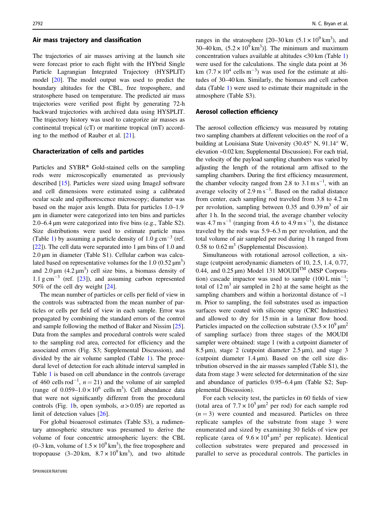#### Air mass trajectory and classification

The trajectories of air masses arriving at the launch site were forecast prior to each flight with the HYbrid Single Particle Lagrangian Integrated Trajectory (HYSPLIT) model [\[20](#page-10-0)]. The model output was used to predict the boundary altitudes for the CBL, free troposphere, and stratosphere based on temperature. The predicted air mass trajectories were verified post flight by generating 72-h backward trajectories with archived data using HYSPLIT. The trajectory history was used to categorize air masses as continental tropical (cT) or maritime tropical (mT) according to the method of Rauber et al. [\[21](#page-10-0)].

#### Characterization of cells and particles

Particles and SYBR® Gold-stained cells on the sampling rods were microscopically enumerated as previously described [[15\]](#page-9-0). Particles were sized using ImageJ software and cell dimensions were estimated using a calibrated ocular scale and epifluorescence microscopy; diameter was based on the major axis length. Data for particles 1.0–1.9 µm in diameter were categorized into ten bins and particles 2.0–6.4 µm were categorized into five bins (e.g., Table S2). Size distributions were used to estimate particle mass (Table [1\)](#page-3-0) by assuming a particle density of  $1.0 \text{ g cm}^{-3}$  (ref. [\[22](#page-10-0)]). The cell data were separated into  $1 \mu m$  bins of 1.0 and 2.0 µm in diameter (Table S1). Cellular carbon was calculated based on representative volumes for the 1.0 (0.52  $\mu$ m<sup>3</sup>) and  $2.0 \,\text{\mu m}$  (4.2  $\text{\mu m}^3$ ) cell size bins, a biomass density of 1.1  $\text{g cm}^{-3}$  (ref. [\[23](#page-10-0)]), and assuming carbon represented 50% of the cell dry weight [[24\]](#page-10-0).

The mean number of particles or cells per field of view in the controls was subtracted from the mean number of particles or cells per field of view in each sample. Error was propagated by combining the standard errors of the control and sample following the method of Baker and Nissim [\[25](#page-10-0)]. Data from the samples and procedural controls were scaled to the sampling rod area, corrected for efficiency and the associated errors (Fig. S3; Supplemental Discussion), and divided by the air volume sampled (Table [1\)](#page-3-0). The procedural level of detection for each altitude interval sampled in Table [1](#page-3-0) is based on cell abundance in the controls (average of 460 cells rod<sup>-1</sup>,  $n = 21$ ) and the volume of air sampled (range of  $0.059-1.0 \times 10^6$  cells m<sup>3</sup>). Cell abundance data that were not significantly different from the procedural controls (Fig. [1b](#page-2-0), open symbols,  $\alpha$  > 0.05) are reported as limit of detection values [[26\]](#page-10-0).

For global bioaerosol estimates (Table S3), a rudimentary atmospheric structure was presumed to derive the volume of four concentric atmospheric layers: the CBL  $(0-3 \text{ km}, \text{ volume of } 1.5 \times 10^9 \text{ km}^3)$ , the free troposphere and tropopause  $(3-20 \text{ km}, 8.7 \times 10^9 \text{ km}^3)$ , and two altitude

ranges in the stratosphere [20–30 km  $(5.1 \times 10^9 \text{ km}^3)$ , and 30–40 km,  $(5.2 \times 10^{9} \text{ km}^3)$ . The minimum and maximum concentration values available at altitudes <30 km (Table [1](#page-3-0)) were used for the calculations. The single data point at 36 km (7.7 × 10<sup>4</sup> cells m<sup>-3</sup>) was used for the estimate at altitudes of 30–40 km. Similarly, the biomass and cell carbon data (Table [1](#page-3-0)) were used to estimate their magnitude in the atmosphere (Table S3).

#### Aerosol collection efficiency

The aerosol collection efficiency was measured by rotating two sampling chambers at different velocities on the roof of a building at Louisiana State University (30.45° N, 91.14° W, elevation ~0.02 km; Supplemental Discussion). For each trial, the velocity of the payload sampling chambers was varied by adjusting the length of the rotational arm affixed to the sampling chambers. During the first efficiency measurement, the chamber velocity ranged from 2.8 to  $3.1 \text{ m s}^{-1}$ , with an average velocity of  $2.9 \text{ m s}^{-1}$ . Based on the radial distance from center, each sampling rod traveled from 3.8 to 4.2 m per revolution, sampling between  $0.35$  and  $0.39 \text{ m}^3$  of air after 1 h. In the second trial, the average chamber velocity was  $4.7 \text{ m s}^{-1}$  (ranging from  $4.6 \text{ to } 4.9 \text{ m s}^{-1}$ ), the distance traveled by the rods was 5.9–6.3 m per revolution, and the total volume of air sampled per rod during 1 h ranged from 0.58 to  $0.62 \text{ m}^3$  (Supplemental Discussion).

Simultaneous with rotational aerosol collection, a sixstage (cutpoint aerodynamic diameters of 10, 2.5, 1.4, 0.77, 0.44, and 0.25  $\mu$ m) Model 131 MOUDI<sup>TM</sup> (MSP Corporation) cascade impactor was used to sample  $(100 \text{ L min}^{-1})$ ; total of  $12 \text{ m}^3$  air sampled in  $2 \text{ h}$ ) at the same height as the sampling chambers and within a horizontal distance of  $\sim$ 1 m. Prior to sampling, the foil substrates used as impaction surfaces were coated with silicone spray (CRC Industries) and allowed to dry for 15 min in a laminar flow hood. Particles impacted on the collection substrate  $(3.5 \times 10^9 \,\text{µm}^2)$ of sampling surface) from three stages of the MOUDI sampler were obtained: stage 1 (with a cutpoint diameter of 8.5  $\mu$ m), stage 2 (cutpoint diameter 2.5  $\mu$ m), and stage 3 (cutpoint diameter  $1.4 \mu m$ ). Based on the cell size distribution observed in the air masses sampled (Table S1), the data from stage 3 were selected for determination of the size and abundance of particles 0.95–6.4 µm (Table S2; Supplemental Discussion).

For each velocity test, the particles in 60 fields of view (total area of  $7.7 \times 10^5 \,\mathrm{\upmu m^2}$  per rod) for each sample rod  $(n = 3)$  were counted and measured. Particles on three replicate samples of the substrate from stage 3 were enumerated and sized by examining 30 fields of view per replicate (area of  $9.6 \times 10^4 \,\mathrm{\upmu m}^2$  per replicate). Identical collection substrates were prepared and processed in parallel to serve as procedural controls. The particles in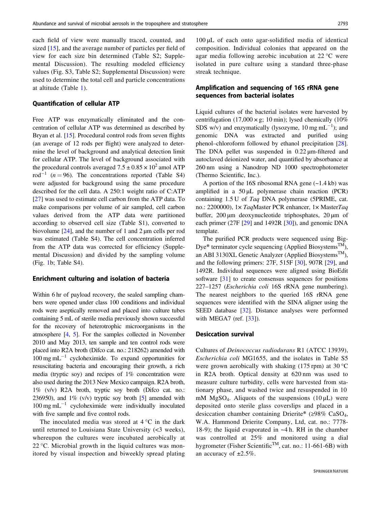each field of view were manually traced, counted, and sized [[15](#page-9-0)], and the average number of particles per field of view for each size bin determined (Table S2; Supplemental Discussion). The resulting modeled efficiency values (Fig. S3, Table S2; Supplemental Discussion) were used to determine the total cell and particle concentrations at altitude (Table [1\)](#page-3-0).

#### Quantification of cellular ATP

Free ATP was enzymatically eliminated and the concentration of cellular ATP was determined as described by Bryan et al. [\[15](#page-9-0)]. Procedural control rods from seven flights (an average of 12 rods per flight) were analyzed to determine the level of background and analytical detection limit for cellular ATP. The level of background associated with the procedural controls averaged  $7.5 \pm 0.85 \times 10^2$  amol ATP rod<sup>-1</sup> (n = 96). The concentrations reported (Table S4) were adjusted for background using the same procedure described for the cell data. A 250:1 weight ratio of C:ATP [\[27](#page-10-0)] was used to estimate cell carbon from the ATP data. To make comparisons per volume of air sampled, cell carbon values derived from the ATP data were partitioned according to observed cell size (Table S1), converted to biovolume [\[24](#page-10-0)], and the number of 1 and 2 µm cells per rod was estimated (Table S4). The cell concentration inferred from the ATP data was corrected for efficiency (Supplemental Discussion) and divided by the sampling volume (Fig. [1](#page-2-0)b; Table S4).

#### Enrichment culturing and isolation of bacteria

Within 6 hr of payload recovery, the sealed sampling chambers were opened under class 100 conditions and individual rods were aseptically removed and placed into culture tubes containing 5 mL of sterile media previously shown successful for the recovery of heterotrophic microorganisms in the atmosphere [[4](#page-9-0), [5](#page-9-0)]. For the samples collected in November 2010 and May 2013, ten sample and ten control rods were placed into R2A broth (Difco cat. no.: 218262) amended with  $100 \text{ mg } \text{mL}^{-1}$  cycloheximide. To expand opportunities for resuscitating bacteria and encouraging their growth, a rich media (tryptic soy) and recipes of 1% concentration were also used during the 2013 New Mexico campaign. R2A broth, 1% (v/v) R2A broth, tryptic soy broth (Difco cat. no.: 236950), and  $1\%$  (v/v) tryptic soy broth [\[5\]](#page-9-0) amended with  $100 \text{ mg } \text{mL}^{-1}$  cycloheximide were individually inoculated with five sample and five control rods.

The inoculated media was stored at  $4^{\circ}$ C in the dark until returned to Louisiana State University (<3 weeks), whereupon the cultures were incubated aerobically at 22 °C. Microbial growth in the liquid cultures was monitored by visual inspection and biweekly spread plating

100 μL of each onto agar-solidified media of identical composition. Individual colonies that appeared on the agar media following aerobic incubation at 22 °C were isolated in pure culture using a standard three-phase streak technique.

#### Amplification and sequencing of 16S rRNA gene sequences from bacterial isolates

Liquid cultures of the bacterial isolates were harvested by centrifugation (17,000  $\times$  g; 10 min); lysed chemically (10%) SDS w/v) and enzymatically (lysozyme,  $10 \text{ mg } \text{mL}^{-1}$ ); and genomic DNA was extracted and purified using phenol–chloroform followed by ethanol precipitation [[28\]](#page-10-0). The DNA pellet was suspended in 0.22  $\mu$ m-filtered and autoclaved deionized water, and quantified by absorbance at 260 nm using a Nanodrop ND 1000 spectrophotometer (Thermo Scientific, Inc.).

A portion of the 16S ribosomal RNA gene (~1.4 kb) was amplified in a  $50 \mu L$  polymerase chain reaction (PCR) containing 1.5 U of Taq DNA polymerase (5PRIME, cat. no.: 2200000), 1× TaqMaster PCR enhancer, 1× MasterTaq buffer, 200 µm deoxynucleotide triphosphates, 20 µm of each primer (27F [[29\]](#page-10-0) and 1492R [[30\]](#page-10-0)), and genomic DNA template.

The purified PCR products were sequenced using Big-Dye<sup>®</sup> terminator cycle sequencing (Applied Biosystems<sup>TM</sup>), an ABI 3130XL Genetic Analyzer (Applied Biosystems<sup>TM</sup>), and the following primers: 27F, 515F [\[30](#page-10-0)], 907R [\[29](#page-10-0)], and 1492R. Individual sequences were aligned using BioEdit software [\[31](#page-10-0)] to create consensus sequences for positions 227–1257 (Escherichia coli 16S rRNA gene numbering). The nearest neighbors to the queried 16S rRNA gene sequences were identified with the SINA aligner using the SEED database [[32\]](#page-10-0). Distance analyses were performed with MEGA7 (ref. [[33\]](#page-10-0)).

#### Desiccation survival

Cultures of Deinococcus radiodurans R1 (ATCC 13939), Escherichia coli MG1655, and the isolates in Table S5 were grown aerobically with shaking  $(175 \text{ rpm})$  at  $30 \text{°C}$ in R2A broth. Optical density at 620 nm was used to measure culture turbidity, cells were harvested from stationary phase, and washed twice and resuspended in 10 mM MgSO<sub>4</sub>. Aliquots of the suspensions  $(10 \mu L)$  were deposited onto sterile glass coverslips and placed in a desiccation chamber containing Drierite® ( $\geq$ 98% CaSO<sub>4</sub>, W.A. Hammond Drierite Company, Ltd, cat. no.: 7778- 18-9); the liquid evaporated in ~4 h. RH in the chamber was controlled at 25% and monitored using a dial hygrometer (Fisher Scientific<sup>TM</sup>, cat. no.: 11-661-6B) with an accuracy of  $\pm 2.5\%$ .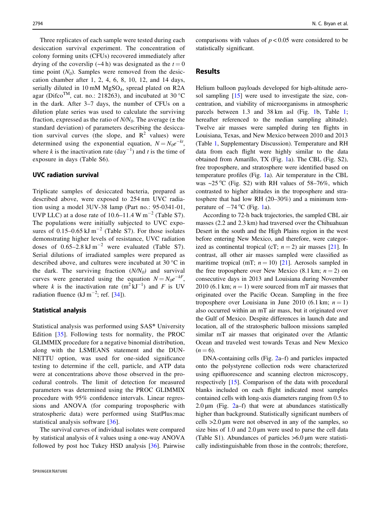Three replicates of each sample were tested during each desiccation survival experiment. The concentration of colony forming units (CFUs) recovered immediately after drying of the coverslip (~4 h) was designated as the  $t = 0$ time point  $(N_0)$ . Samples were removed from the desiccation chamber after 1, 2, 4, 6, 8, 10, 12, and 14 days, serially diluted in 10 mM  $MgSO<sub>4</sub>$ , spread plated on R2A agar (Difco<sup>TM</sup>, cat. no.: 218263), and incubated at 30 °C in the dark. After 3–7 days, the number of CFUs on a dilution plate series was used to calculate the surviving fraction, expressed as the ratio of  $N/N_0$ . The average ( $\pm$  the standard deviation) of parameters describing the desiccation survival curves (the slope, and  $R^2$  values) were determined using the exponential equation,  $N = N_0e^{-kt}$ , where k is the inactivation rate  $(\text{day}^{-1})$  and t is the time of exposure in days (Table S6).

#### UVC radiation survival

Triplicate samples of desiccated bacteria, prepared as described above, were exposed to 254 nm UVC radiation using a model 3UV-38 lamp (Part no.: 95-0341-01, UVP LLC) at a dose rate of 10.6–11.4 W m<sup>-2</sup> (Table S7). The populations were initially subjected to UVC exposures of 0.15–0.65 kJ m<sup>-2</sup> (Table S7). For those isolates demonstrating higher levels of resistance, UVC radiation doses of  $0.65-2.8 \text{ kJ m}^{-2}$  were evaluated (Table S7). Serial dilutions of irradiated samples were prepared as described above, and cultures were incubated at 30 °C in the dark. The surviving fraction  $(N/N_0)$  and survival curves were generated using the equation  $N = N_0 e^{-kF}$ , where k is the inactivation rate  $(m^2 kJ^{-1})$  and F is UV radiation fluence (kJ m<sup>-2</sup>; ref. [[34\]](#page-10-0)).

#### Statistical analysis

Statistical analysis was performed using SAS® University Edition [[35\]](#page-10-0). Following tests for normality, the PROC GLIMMIX procedure for a negative binomial distribution, along with the LSMEANS statement and the DUN-NETTU option, was used for one-sided significance testing to determine if the cell, particle, and ATP data were at concentrations above those observed in the procedural controls. The limit of detection for measured parameters was determined using the PROC GLIMMIX procedure with 95% confidence intervals. Linear regressions and ANOVA (for comparing tropospheric with stratospheric data) were performed using StatPlus:mac statistical analysis software [[36](#page-10-0)].

The survival curves of individual isolates were compared by statistical analysis of  $k$  values using a one-way ANOVA followed by post hoc Tukey HSD analysis [[36](#page-10-0)]. Pairwise comparisons with values of  $p < 0.05$  were considered to be statistically significant.

#### Results

Helium balloon payloads developed for high-altitude aero-sol sampling [[15\]](#page-9-0) were used to investigate the size, concentration, and viability of microorganisms in atmospheric parcels between 1.3 and 38 km asl (Fig. [1b](#page-2-0), Table [1;](#page-3-0) hereafter referenced to the median sampling altitude). Twelve air masses were sampled during ten flights in Louisiana, Texas, and New Mexico between 2010 and 2013 (Table [1,](#page-3-0) Supplementary Discussion). Temperature and RH data from each flight were highly similar to the data obtained from Amarillo, TX (Fig. [1](#page-2-0)a). The CBL (Fig. S2), free troposphere, and stratosphere were identified based on temperature profiles (Fig. [1](#page-2-0)a). Air temperature in the CBL was  $\sim$ 25 °C (Fig. S2) with RH values of 58-76%, which contrasted to higher altitudes in the troposphere and stratosphere that had low RH (20–30%) and a minimum temperature of  $-74$  °C (Fig. [1a](#page-2-0)).

According to 72-h back trajectories, the sampled CBL air masses (2.2 and 2.3 km) had traversed over the Chihuahuan Desert in the south and the High Plains region in the west before entering New Mexico, and therefore, were categorized as continental tropical (cT;  $n = 2$ ) air masses [[21\]](#page-10-0). In contrast, all other air masses sampled were classified as maritime tropical (mT;  $n = 10$ ) [[21\]](#page-10-0). Aerosols sampled in the free troposphere over New Mexico (8.1 km;  $n = 2$ ) on consecutive days in 2013 and Louisiana during November 2010 (6.1 km;  $n = 1$ ) were sourced from mT air masses that originated over the Pacific Ocean. Sampling in the free troposphere over Louisiana in June 2010 (6.1 km;  $n = 1$ ) also occurred within an mT air mass, but it originated over the Gulf of Mexico. Despite differences in launch date and location, all of the stratospheric balloon missions sampled similar mT air masses that originated over the Atlantic Ocean and traveled west towards Texas and New Mexico  $(n = 6)$ .

DNA-containing cells (Fig. [2](#page-7-0)a–f) and particles impacted onto the polystyrene collection rods were characterized using epifluorescence and scanning electron microscopy, respectively [[15\]](#page-9-0). Comparison of the data with procedural blanks included on each flight indicated most samples contained cells with long-axis diameters ranging from 0.5 to [2](#page-7-0).0  $\mu$ m (Fig. 2a–f) that were at abundances statistically higher than background. Statistically significant numbers of cells  $>2.0 \mu m$  were not observed in any of the samples, so size bins of 1.0 and 2.0  $\mu$ m were used to parse the cell data (Table S1). Abundances of particles >6.0 µm were statistically indistinguishable from those in the controls; therefore,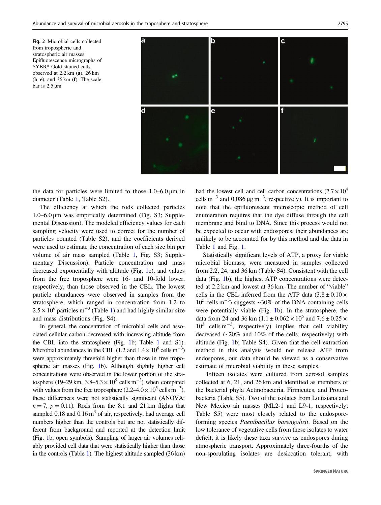<span id="page-7-0"></span>Fig. 2 Microbial cells collected from tropospheric and stratospheric air masses. Epifluorescence micrographs of SYBR® Gold-stained cells observed at 2.2 km (a), 26 km  $(b-e)$ , and 36 km  $(f)$ . The scale bar is 2.5 µm



the data for particles were limited to those  $1.0-6.0 \,\text{\ensuremath{\mu}m}$  in diameter (Table [1,](#page-3-0) Table S2).

The efficiency at which the rods collected particles 1.0–6.0 µm was empirically determined (Fig. S3; Supplemental Discussion). The modeled efficiency values for each sampling velocity were used to correct for the number of particles counted (Table S2), and the coefficients derived were used to estimate the concentration of each size bin per volume of air mass sampled (Table [1](#page-3-0), Fig. S3; Supplementary Discussion). Particle concentration and mass decreased exponentially with altitude (Fig. [1](#page-2-0)c), and values from the free troposphere were 16- and 10-fold lower, respectively, than those observed in the CBL. The lowest particle abundances were observed in samples from the stratosphere, which ranged in concentration from 1.2 to  $2.5 \times 10^6$  particles m<sup>-3</sup> (Table [1\)](#page-3-0) and had highly similar size and mass distributions (Fig. S4).

In general, the concentration of microbial cells and associated cellular carbon decreased with increasing altitude from the CBL into the stratosphere (Fig. [1b](#page-2-0); Table [1](#page-3-0) and S1). Microbial abundances in the CBL (1.2 and  $1.4 \times 10^6$  cells m<sup>-3</sup>) were approximately threefold higher than those in free tropospheric air masses (Fig. [1](#page-2-0)b). Although slightly higher cell concentrations were observed in the lower portion of the stratosphere (19–29 km,  $3.8 - 5.3 \times 10^5$  cells m<sup>-3</sup>) when compared with values from the free troposphere  $(2.2-4.0 \times 10^5 \text{ cells m}^{-3})$ , these differences were not statistically significant (ANOVA:  $n = 7$ ,  $p = 0.11$ ). Rods from the 8.1 and 21 km flights that sampled  $0.18$  and  $0.16 \text{ m}^3$  of air, respectively, had average cell numbers higher than the controls but are not statistically different from background and reported at the detection limit (Fig. [1b](#page-2-0), open symbols). Sampling of larger air volumes reliably provided cell data that were statistically higher than those in the controls (Table [1\)](#page-3-0). The highest altitude sampled (36 km) had the lowest cell and cell carbon concentrations ( $7.7 \times 10^4$ ) cells m<sup>-3</sup> and 0.086  $\mu$ g m<sup>-3</sup>, respectively). It is important to note that the epifluorescent microscopic method of cell enumeration requires that the dye diffuse through the cell membrane and bind to DNA. Since this process would not be expected to occur with endospores, their abundances are unlikely to be accounted for by this method and the data in Table [1](#page-3-0) and Fig. [1.](#page-2-0)

Statistically significant levels of ATP, a proxy for viable microbial biomass, were measured in samples collected from 2.2, 24, and 36 km (Table S4). Consistent with the cell data (Fig. [1](#page-2-0)b), the highest ATP concentrations were detected at 2.2 km and lowest at 36 km. The number of "viable" cells in the CBL inferred from the ATP data  $(3.8 \pm 0.10 \times$ 10<sup>5</sup> cells m<sup>−</sup><sup>3</sup> ) suggests ~30% of the DNA-containing cells were potentially viable (Fig. [1](#page-2-0)b). In the stratosphere, the data from 24 and 36 km (1.1  $\pm$  0.062  $\times$  10<sup>5</sup> and 7.6  $\pm$  0.25  $\times$ 10<sup>3</sup> cells m<sup>−</sup><sup>3</sup> , respectively) implies that cell viability decreased (~20% and 10% of the cells, respectively) with altitude (Fig. [1](#page-2-0)b; Table S4). Given that the cell extraction method in this analysis would not release ATP from endospores, our data should be viewed as a conservative estimate of microbial viability in these samples.

Fifteen isolates were cultured from aerosol samples collected at 6, 21, and 26 km and identified as members of the bacterial phyla Actinobacteria, Firmicutes, and Proteobacteria (Table S5). Two of the isolates from Louisiana and New Mexico air masses (ML2-1 and L9-1, respectively; Table S5) were most closely related to the endosporeforming species Paenibacillus barengoltzii. Based on the low tolerance of vegetative cells from these isolates to water deficit, it is likely these taxa survive as endospores during atmospheric transport. Approximately three-fourths of the non-sporulating isolates are desiccation tolerant, with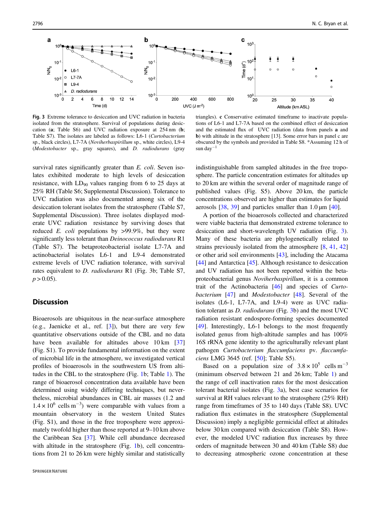<span id="page-8-0"></span>

Fig. 3 Extreme tolerance to desiccation and UVC radiation in bacteria isolated from the stratosphere. Survival of populations during desiccation (a; Table S6) and UVC radiation exposure at 254 nm (b; Table S7). The isolates are labeled as follows: L6-1 (Curtobacterium sp., black circles), L7-7A (Noviherbaspirillum sp., white circles), L9-4 (Modestobacter sp., gray squares), and D. radiodurans (gray

triangles). c Conservative estimated timeframe to inactivate populations of L6-1 and L7-7A based on the combined effect of desiccation and the estimated flux of UVC radiation (data from panels a and b) with altitude in the stratosphere [13]. Some error bars in panel c are obscured by the symbols and provided in Table S8. \*Assuming 12 h of sun day<sup>−</sup><sup>1</sup>

survival rates significantly greater than E. coli. Seven isolates exhibited moderate to high levels of desiccation resistance, with  $LD_{90}$  values ranging from 6 to 25 days at 25% RH (Table S6; Supplemental Discussion). Tolerance to UVC radiation was also documented among six of the desiccation tolerant isolates from the stratosphere (Table S7, Supplemental Discussion). Three isolates displayed moderate UVC radiation resistance by surviving doses that reduced  $E.$  *coli* populations by  $>99.9\%$ , but they were significantly less tolerant than *Deinococcus radiodurans* R1 (Table S7). The betaproteobacterial isolate L7-7A and actinobacterial isolates L6-1 and L9-4 demonstrated extreme levels of UVC radiation tolerance, with survival rates equivalent to D. radiodurans R1 (Fig. 3b; Table S7,  $p > 0.05$ ).

#### **Discussion**

Bioaerosols are ubiquitous in the near-surface atmosphere (e.g., Jaenicke et al., ref. [[3\]](#page-9-0)), but there are very few quantitative observations outside of the CBL and no data have been available for altitudes above 10 km [[37\]](#page-10-0) (Fig. S1). To provide fundamental information on the extent of microbial life in the atmosphere, we investigated vertical profiles of bioaerosols in the southwestern US from altitudes in the CBL to the stratosphere (Fig. [1b](#page-2-0); Table [1](#page-3-0)). The range of bioaerosol concentration data available have been determined using widely differing techniques, but nevertheless, microbial abundances in CBL air masses (1.2 and  $1.4 \times 10^{6}$  cells m<sup>-3</sup>) were comparable with values from a mountain observatory in the western United States (Fig. S1), and those in the free troposphere were approximately twofold higher than those reported at 9–10 km above the Caribbean Sea [\[37](#page-10-0)]. While cell abundance decreased with altitude in the stratosphere (Fig. [1](#page-2-0)b), cell concentrations from 21 to 26 km were highly similar and statistically indistinguishable from sampled altitudes in the free troposphere. The particle concentration estimates for altitudes up to 20 km are within the several order of magnitude range of published values (Fig. S5). Above 20 km, the particle concentrations observed are higher than estimates for liquid aerosols  $[38, 39]$  $[38, 39]$  $[38, 39]$  and particles smaller than 1.0  $\mu$ m  $[40]$  $[40]$ .

A portion of the bioaerosols collected and characterized were viable bacteria that demonstrated extreme tolerance to desiccation and short-wavelength UV radiation (Fig. 3). Many of these bacteria are phylogenetically related to strains previously isolated from the atmosphere [\[8](#page-9-0), [41](#page-10-0), [42](#page-10-0)] or other arid soil environments [\[43](#page-10-0)], including the Atacama [\[44](#page-10-0)] and Antarctica [\[45](#page-10-0)]. Although resistance to desiccation and UV radiation has not been reported within the betaproteobacterial genus Noviherbaspirillum, it is a common trait of the Actinobacteria [\[46](#page-10-0)] and species of Curto-bacterium [\[47](#page-10-0)] and *Modestobacter* [[48\]](#page-10-0). Several of the isolates (L6-1, L7-7A, and L9-4) were as UVC radiation tolerant as D. radiodurans (Fig. 3b) and the most UVC radiation resistant endospore-forming species documented [\[49](#page-10-0)]. Interestingly, L6-1 belongs to the most frequently isolated genus from high-altitude samples and has 100% 16S rRNA gene identity to the agriculturally relevant plant pathogen Curtobacterium flaccumfaciens pv. flaccumfaciens LMG 3645 (ref. [\[50](#page-10-0)]; Table S5).

Based on a population size of  $3.8 \times 10^5$  cells m<sup>-3</sup> (minimum observed between 21 and 26 km; Table [1\)](#page-3-0) and the range of cell inactivation rates for the most desiccation tolerant bacterial isolates (Fig. 3a), best case scenarios for survival at RH values relevant to the stratosphere (25% RH) range from timeframes of 35 to 140 days (Table S8). UVC radiation flux estimates in the stratosphere (Supplemental Discussion) imply a negligible germicidal effect at altitudes below 30 km compared with desiccation (Table S8). However, the modeled UVC radiation flux increases by three orders of magnitude between 30 and 40 km (Table S8) due to decreasing atmospheric ozone concentration at these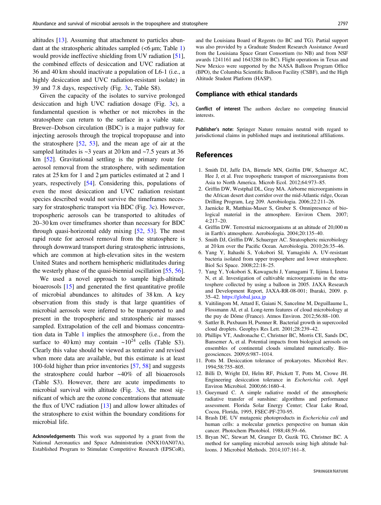<span id="page-9-0"></span>altitudes [13]. Assuming that attachment to particles abundant at the stratospheric altitudes sampled  $(<6 \mu m$ ; Table [1\)](#page-3-0) would provide ineffective shielding from UV radiation [\[51](#page-10-0)], the combined effects of desiccation and UVC radiation at 36 and 40 km should inactivate a population of L6-1 (i.e., a highly desiccation and UVC radiation-resistant isolate) in 39 and 7.8 days, respectively (Fig. [3c](#page-8-0), Table S8).

Given the capacity of the isolates to survive prolonged desiccation and high UVC radiation dosage (Fig. [3c](#page-8-0)), a fundamental question is whether or not microbes in the stratosphere can return to the surface in a viable state. Brewer–Dobson circulation (BDC) is a major pathway for injecting aerosols through the tropical tropopause and into the stratosphere [[52,](#page-10-0) [53](#page-11-0)], and the mean age of air at the sampled latitudes is  $\sim$ 3 years at 20 km and  $\sim$ 7.5 years at 36 km [\[52](#page-10-0)]. Gravitational settling is the primary route for aerosol removal from the stratosphere, with sedimentation rates at 25 km for 1 and 2 µm particles estimated at 2 and 1 years, respectively [[54\]](#page-11-0). Considering this, populations of even the most desiccation and UVC radiation resistant species described would not survive the timeframes necessary for stratospheric transport via BDC (Fig. [3c](#page-8-0)). However, tropospheric aerosols can be transported to altitudes of 20–30 km over timeframes shorter than necessary for BDC through quasi-horizontal eddy mixing [[52,](#page-10-0) [53](#page-11-0)]. The most rapid route for aerosol removal from the stratosphere is through downward transport during stratospheric intrusions, which are common at high-elevation sites in the western United States and northern hemispheric midlatitudes during the westerly phase of the quasi-biennial oscillation [\[55](#page-11-0), [56](#page-11-0)].

We used a novel approach to sample high-altitude bioaerosols [15] and generated the first quantitative profile of microbial abundances to altitudes of 38 km. A key observation from this study is that large quantities of microbial aerosols were inferred to be transported to and present in the tropospheric and stratospheric air masses sampled. Extrapolation of the cell and biomass concentration data in Table [1](#page-3-0) implies the atmosphere (i.e., from the surface to 40 km) may contain  $\sim 10^{24}$  cells (Table S3). Clearly this value should be viewed as tentative and revised when more data are available, but this estimate is at least 100-fold higher than prior inventories [\[57](#page-11-0), [58](#page-11-0)] and suggests the stratosphere could harbor ~40% of all bioaerosols (Table S3). However, there are acute impediments to microbial survival with altitude (Fig. [3](#page-8-0)c), the most significant of which are the ozone concentrations that attenuate the flux of UVC radiation [13] and allow lower altitudes of the stratosphere to exist within the boundary conditions for microbial life.

Acknowledgements This work was supported by a grant from the National Aeronautics and Space Administration (NNX10AN07A), Established Program to Stimulate Competitive Research (EPSCoR),

and the Louisiana Board of Regents (to BC and TG). Partial support was also provided by a Graduate Student Research Assistance Award from the Louisiana Space Grant Consortium (to NB) and from NSF awards 1241161 and 1643288 (to BC). Flight operations in Texas and New Mexico were supported by the NASA Balloon Program Office (BPO), the Columbia Scientific Balloon Facility (CSBF), and the High Altitude Student Platform (HASP).

#### Compliance with ethical standards

Conflict of interest The authors declare no competing financial interests.

Publisher's note: Springer Nature remains neutral with regard to jurisdictional claims in published maps and institutional affiliations.

#### References

- 1. Smith DJ, Jaffe DA, Birmele MN, Griffin DW, Schuerger AC, Hee J, et al. Free tropospheric transport of microorganisms from Asia to North America. Microb Ecol. 2012;64:973–85.
- 2. Griffin DW, Westphal DL, Gray MA. Airborne microorganisms in the African desert dust corridor over the mid-Atlantic ridge, Ocean Drilling Program, Leg 209. Aerobiologia. 2006;22:211–26.
- 3. Jaenicke R, Matthias-Maser S, Gruber S. Omnipresence of biological material in the atmosphere. Environ Chem. 2007; 4:217–20.
- 4. Griffin DW. Terrestrial microorganisms at an altitude of 20,000 m in Earth's atmosphere. Aerobiologia. 2004;20:135–40.
- 5. Smith DJ, Griffin DW, Schuerger AC. Stratospheric microbiology at 20 km over the Pacific Ocean. Aerobiologia. 2010;26:35–46.
- 6. Yang Y, Itahashi S, Yokobori SI, Yamagishi A. UV-resistant bacteria isolated from upper troposphere and lower stratosphere. Biol Sci Space. 2008;22:18–25.
- 7. Yang Y, Yokobori S, Kawaguchi J, Yamagami T, Iijima I, Izutsu N, et al. Investigation of cultivable microorganisms in the stratosphere collected by using a balloon in 2005. JAXA Research and Development Report, JAXA-RR-08-001; Ibaraki, 2009. p. 35–42. <https://global.jaxa.jp>
- 8. Vaïtilingom M, Attard E, Gaiani N, Sancelme M, Deguillaume L, Flossmann AI, et al. Long-term features of cloud microbiology at the puy de Dôme (France). Atmos Environ. 2012;56:88–100.
- 9. Sattler B, Puxbaum H, Psenner R. Bacterial growth in supercooled cloud droplets. Geophys Res Lett. 2001;28:239–42.
- 10. Phillips VT, Andronache C, Christner BC, Morris CE, Sands DC, Bansemer A, et al. Potential impacts from biological aerosols on ensembles of continental clouds simulated numerically. Biogeosciences. 2009;6:987–1014.
- 11. Potts M. Desiccation tolerance of prokaryotes. Microbiol Rev. 1994;58:755–805.
- 12. Billi D, Wright DJ, Helm RF, Prickett T, Potts M, Crowe JH. Engineering desiccation tolerance in Escherichia coli. Appl Environ Microbiol. 2000;66:1680–4.
- 13. Gueymard C. A simple radiative model of the atmospheric radiative transfer of sunshine: algorithms and performance assessment. Florida Solar Energy Center; Clear Lake Road, Cocoa, Florida, 1995, FSEC-PF-270-95.
- 14. Brash DE. UV mutagenic photoproducts in Escherichia coli and human cells: a molecular genetics perspective on human skin cancer. Photochem Photobiol. 1988;48:59–66.
- 15. Bryan NC, Stewart M, Granger D, Guzik TG, Christner BC. A method for sampling microbial aerosols using high altitude balloons. J Microbiol Methods. 2014;107:161–8.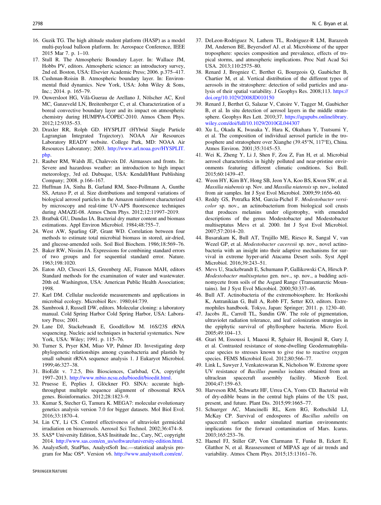- <span id="page-10-0"></span>16. Guzik TG. The high altitude student platform (HASP) as a model multi-payload balloon platform. In: Aerospace Conference, IEEE 2015 Mar 7. p. 1–10.
- 17. Stull R. The Atmospheric Boundary Layer. In: Wallace JM, Hobbs PV, editors. Atmospheric science: an introductory survey, 2nd ed. Boston, USA: Elsevier Academic Press; 2006. p.375–417.
- 18. Cushman-Roisin B. Atmospheric boundary layer. In: Environmental fluid dynamics. New York, USA: John Wiley & Sons, Inc.; 2014. p. 165–79.
- 19. Ouwersloot HG, Vilà-Guerau de Arellano J, Nölscher AC, Krol MC, Ganzeveld LN, Breitenberger C, et al. Characterization of a boreal convective boundary layer and its impact on atmospheric chemistry during HUMPPA-COPEC-2010. Atmos Chem Phys. 2012;12:9335–53.
- 20. Draxler RR, Rolph GD. HYSPLIT (HYbrid Single Particle Lagrangian Integrated Trajectory). NOAA Air Resources Laboratory READY website. College Park, MD: NOAA Air Resources Laboratory; 2003. [http://www.arl.noaa.gov/HYSPLIT.](http://www.arl.noaa.gov/HYSPLIT.php) [php.](http://www.arl.noaa.gov/HYSPLIT.php)
- 21. Rauber RM, Walsh JE, Chalevoix DJ. Airmasses and fronts. In: Severe and hazardous weather: an introduction to high impact meteorology, 3rd ed. Dubuque, USA: Kendall/Hunt Publishing Company; 2008. p.166–167.
- 22. Huffman JA, Sinha B, Garland RM, Snee-Pollmann A, Gunthe SS, Artaxo P, et al. Size distributions and temporal variations of biological aerosol particles in the Amazon rainforest characterized by microscopy and real-time UV-APS fluorescence techniques during AMAZE-08. Atmos Chem Phys. 2012;12:11997–2019.
- 23. Bratbak GU, Dundas IA. Bacterial dry matter content and biomass estimations. Appl Environ Microbiol. 1984;48:755–7.
- 24. West AW, Sparling GP, Grant WD. Correlation between four methods to estimate total microbial biomass in stored, air-dried, and glucose-amended soils. Soil Biol Biochem. 1986;18:569–76.
- 25. Baker RW, Nissim JA. Expressions for combining standard errors of two groups and for sequential standard error. Nature. 1963;198:1020.
- 26. Eaton AD, Clesceri LS, Greenberg AE, Franson MAH, editors Standard methods for the examination of water and wastewater. 20th ed. Washington, USA: American Public Health Association; 1998.
- 27. Karl DM. Cellular nucleotide measurements and applications in microbial ecology. Microbiol Rev. 1980;44:739.
- 28. Sambrook J, Russell DW, editors. Molecular cloning: a laboratory manual. Cold Spring Harbor Cold Spring Harbor, USA: Laboratory Press; 2001.
- 29. Lane DJ, Stackebrandt E, Goodfellow M. 16S/23S rRNA sequencing. Nucleic acid techniques in bacterial systematics. New York, USA: Wiley; 1991. p. 115–76.
- 30. Turner S, Pryer KM, Miao VP, Palmer JD. Investigating deep phylogenetic relationships among cyanobacteria and plastids by small subunit rRNA sequence analysis 1. J Eukaryot Microbiol. 1999;46:327–38.
- 31. BioEdit v. 7.2.5, Ibis Biosciences, Carlsbad, CA, copyright 1997–2013. <http://www.mbio.ncsu.edu/bioedit/bioedit.html>.
- 32. Pruesse E, Peplies J, Glöckner FO. SINA: accurate highthroughput multiple sequence alignment of ribosomal RNA genes. Bioinformatics. 2012;28:1823–9.
- 33. Kumar S, Stecher G, Tamura K. MEGA7: molecular evolutionary genetics analysis version 7.0 for bigger datasets. Mol Biol Evol. 2016;33:1870–4.
- 34. Lin CY, Li CS. Control effectiveness of ultraviolet germicidal irradiation on bioaerosols. Aerosol Sci Technol. 2002;36:474–8.
- 35. SAS® University Edition, SAS Insititude Inc., Cary, NC, copyright 2014. [http://www.sas.com/en\\_us/software/university-edition.html.](http://www.sas.com/en_us/software/university-edition.html)
- 36. AnalystSoft, StatPlus, AnalystSoft Inc.—statistical analysis program for Mac OS®. Version v6. [http://www.analystsoft.com/en/.](http://www.analystsoft.com/en/)
- **SPRINGER NATURE**
- 37. DeLeon-Rodriguez N, Lathem TL, Rodriguez-R LM, Barazesh JM, Anderson BE, Beyersdorf AJ. et al. Microbiome of the upper troposphere: species composition and prevalence, effects of tropical storms, and atmospheric implications. Proc Natl Acad Sci USA. 2013;110:2575–80.
- 38. Renard J, Brogniez C, Berthet G, Bourgeois Q, Gaubicher B, Chartier M, et al. Vertical distribution of the different types of aerosols in the stratosphere: detection of solid particles and analysis of their spatial variability. J Geophys Res. 2008;113. [https://](https://doi.org/10.1029/2008JD010150) [doi.org/10.1029/2008JD010150](https://doi.org/10.1029/2008JD010150)
- 39. Renard J, Berthet G, Salazar V, Catoire V, Tagger M, Gaubicher B, et al. In situ detection of aerosol layers in the middle stratosphere. Geophys Res Lett. 2010;37. [https://agupubs.onlinelibrary.](https://agupubs.onlinelibrary.wiley.com/doi/full/10.1029/2010GL044307) [wiley.com/doi/full/10.1029/2010GL044307](https://agupubs.onlinelibrary.wiley.com/doi/full/10.1029/2010GL044307)
- 40. Xu L, Okada K, Iwasaka Y, Hara K, Okuhara Y, Tsutsumi Y, et al. The composition of individual aerosol particle in the troposphere and stratosphere over Xianghe (39.45°N, 117°E), China. Atmos Environ. 2001;35:3145–53.
- 41. Wei K, Zheng Y, Li J, Shen F, Zou Z, Fan H, et al. Microbial aerosol characteristics in highly polluted and near-pristine environments featuring different climatic conditions. Sci Bull. 2015;60:1439–47.
- 42. Weon HY, Kim BY, Hong SB, Jeon YA, Koo BS, Kwon SW, et al. Massilia niabensis sp. Nov. and Massilia niatensis sp. nov., isolated from air samples. Int J Syst Evol Microbiol. 2009;59:1656–60.
- 43. Reddy GS, Potrafka RM, Garcia-Pichel F. Modestobacter versicolor sp. nov., an actinobacterium from biological soil crusts that produces melanins under oligotrophy, with emended descriptions of the genus Modestobacter and Modestobacter multiseptatus Mevs et al. 2000. Int J Syst Evol Microbiol. 2007;57:2014–20.
- 44. Busarakam K, Bull AT, Trujillo ME, Riesco R, Sangal V, van Wezel GP, et al. Modestobacter caceresii sp. nov., novel actinobacteria with an insight into their adaptive mechanisms for survival in extreme hyper-arid Atacama Desert soils. Syst Appl Microbiol. 2016;39:243–51.
- 45. Mevs U, Stackebrandt E, Schumann P, Gallikowski CA, Hirsch P. Modestobacter multiseptatus gen. nov., sp. nov., a budding actinomycete from soils of the Asgard Range (Transantarctic Mountains). Int J Syst Evol Microbiol. 2000;50:337–46.
- 46. Bull AT. Actinobacteria of the extremobiosphere. In: Horikoshi K, Antranikian G, Bull A, Robb FT, Setter KO, editors. Extremophiles handbook. Tokyo, Japan: Springer; 2011. p. 1230–40.
- 47. Jacobs JL, Carroll TL, Sundin GW. The role of pigmentation, ultraviolet radiation tolerance, and leaf colonization strategies in the epiphytic survival of phyllosphere bacteria. Micro Ecol. 2005;49:104–13.
- 48. Gtari M, Essoussi I, Maaoui R, Sghaier H, Boujmil R, Gury J, et al. Contrasted resistance of stone-dwelling Geodermatophilaceae species to stresses known to give rise to reactive oxygen species. FEMS Microbiol Ecol. 2012;80:566–77.
- 49. Link L, Sawyer J, Venkateswaran K, Nicholson W. Extreme spore UV resistance of Bacillus pumilus isolates obtained from an ultraclean spacecraft assembly facility. Microb Ecol. 2004;47:159–63.
- 50. Harveson RM, Schwartz HF, Urrea CA, Yonts CD. Bacterial wilt of dry-edible beans in the central high plains of the US: past, present, and future. Plant Dis. 2015;99:1665–77.
- 51. Schuerger AC, Mancinelli RL, Kern RG, Rothschild LJ, McKay CP. Survival of endospores of Bacillus subtilis on spacecraft surfaces under simulated martian environments: implications for the forward contamination of Mars. Icarus. 2003;165:253–76.
- 52. Haenel FJ, Stiller GP, Von Clarmann T, Funke B, Eckert E, Glatthor N, et al. Reassessment of MIPAS age of air trends and variability. Atmos Chem Phys. 2015;15:13161–76.